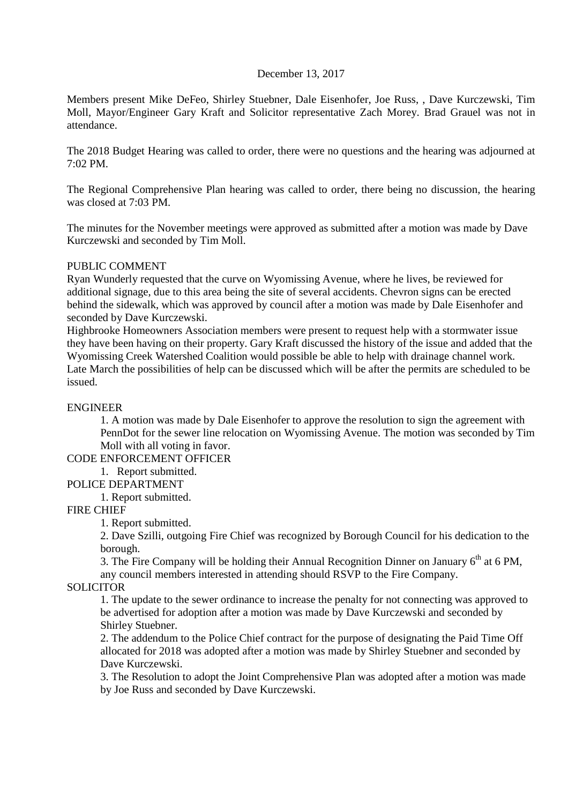## December 13, 2017

Members present Mike DeFeo, Shirley Stuebner, Dale Eisenhofer, Joe Russ, , Dave Kurczewski, Tim Moll, Mayor/Engineer Gary Kraft and Solicitor representative Zach Morey. Brad Grauel was not in attendance.

The 2018 Budget Hearing was called to order, there were no questions and the hearing was adjourned at 7:02 PM.

The Regional Comprehensive Plan hearing was called to order, there being no discussion, the hearing was closed at 7:03 PM.

The minutes for the November meetings were approved as submitted after a motion was made by Dave Kurczewski and seconded by Tim Moll.

#### PUBLIC COMMENT

Ryan Wunderly requested that the curve on Wyomissing Avenue, where he lives, be reviewed for additional signage, due to this area being the site of several accidents. Chevron signs can be erected behind the sidewalk, which was approved by council after a motion was made by Dale Eisenhofer and seconded by Dave Kurczewski.

Highbrooke Homeowners Association members were present to request help with a stormwater issue they have been having on their property. Gary Kraft discussed the history of the issue and added that the Wyomissing Creek Watershed Coalition would possible be able to help with drainage channel work. Late March the possibilities of help can be discussed which will be after the permits are scheduled to be issued.

#### ENGINEER

1. A motion was made by Dale Eisenhofer to approve the resolution to sign the agreement with PennDot for the sewer line relocation on Wyomissing Avenue. The motion was seconded by Tim Moll with all voting in favor.

## CODE ENFORCEMENT OFFICER

1. Report submitted.

#### POLICE DEPARTMENT

1. Report submitted.

## FIRE CHIEF

1. Report submitted.

2. Dave Szilli, outgoing Fire Chief was recognized by Borough Council for his dedication to the borough.

3. The Fire Company will be holding their Annual Recognition Dinner on January  $6<sup>th</sup>$  at 6 PM, any council members interested in attending should RSVP to the Fire Company.

## **SOLICITOR**

1. The update to the sewer ordinance to increase the penalty for not connecting was approved to be advertised for adoption after a motion was made by Dave Kurczewski and seconded by Shirley Stuebner.

2. The addendum to the Police Chief contract for the purpose of designating the Paid Time Off allocated for 2018 was adopted after a motion was made by Shirley Stuebner and seconded by Dave Kurczewski.

3. The Resolution to adopt the Joint Comprehensive Plan was adopted after a motion was made by Joe Russ and seconded by Dave Kurczewski.